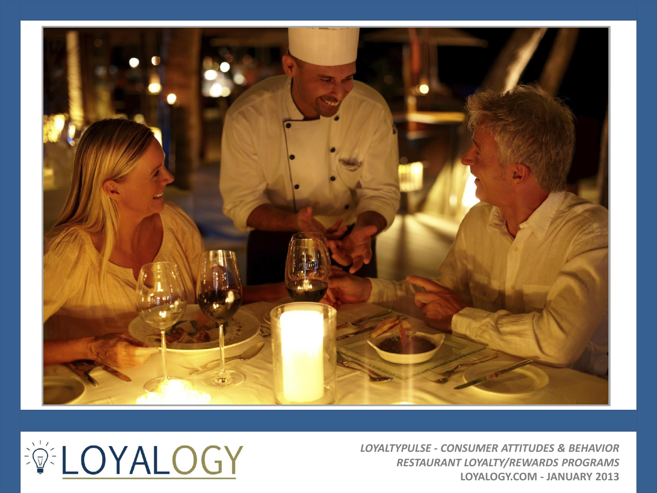



*LOYALTYPULSE - CONSUMER ATTITUDES & BEHAVIOR RESTAURANT LOYALTY/REWARDS PROGRAMS* **LOYALOGY.COM - JANUARY 2013**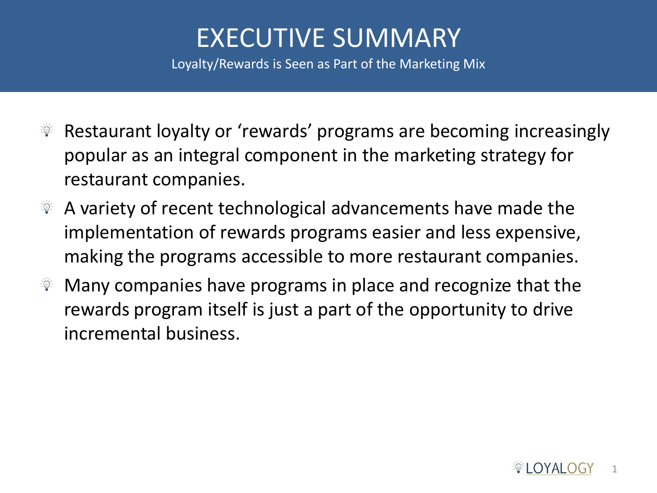# EXECUTIVE SUMMARY

Loyalty/Rewards is Seen as Part of the Marketing Mix

- Restaurant loyalty or 'rewards' programs are becoming increasingly  $\frac{1}{2}$   $\frac{1}{2}$ popular as an integral component in the marketing strategy for restaurant companies.
- $\mathbb{R}$  A variety of recent technological advancements have made the implementation of rewards programs easier and less expensive, making the programs accessible to more restaurant companies.
- Many companies have programs in place and recognize that the  $\frac{1}{2}$   $\frac{1}{2}$   $\frac{1}{2}$ rewards program itself is just a part of the opportunity to drive incremental business.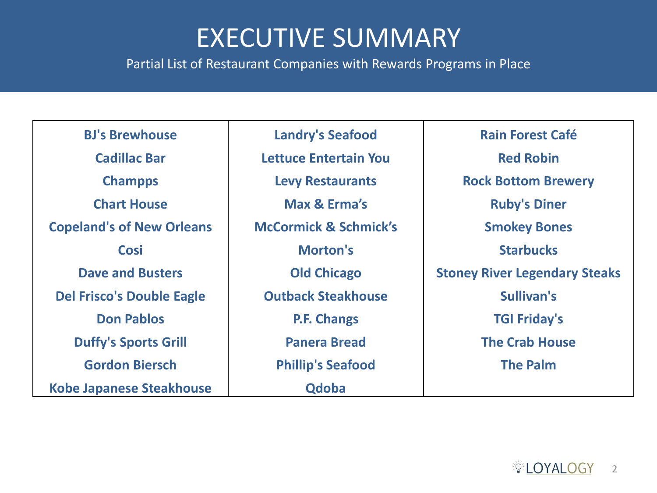#### EXECUTIVE SUMMARY

Partial List of Restaurant Companies with Rewards Programs in Place

| <b>BJ's Brewhouse</b>            | <b>Landry's Seafood</b>          | <b>Rain Forest Café</b>              |
|----------------------------------|----------------------------------|--------------------------------------|
| <b>Cadillac Bar</b>              | Lettuce Entertain You            | <b>Red Robin</b>                     |
| <b>Champps</b>                   | <b>Levy Restaurants</b>          | <b>Rock Bottom Brewery</b>           |
| <b>Chart House</b>               | Max & Erma's                     | <b>Ruby's Diner</b>                  |
| <b>Copeland's of New Orleans</b> | <b>McCormick &amp; Schmick's</b> | <b>Smokey Bones</b>                  |
| <b>Cosi</b>                      | <b>Morton's</b>                  | <b>Starbucks</b>                     |
| <b>Dave and Busters</b>          | <b>Old Chicago</b>               | <b>Stoney River Legendary Steaks</b> |
| <b>Del Frisco's Double Eagle</b> | <b>Outback Steakhouse</b>        | Sullivan's                           |
| <b>Don Pablos</b>                | <b>P.F. Changs</b>               | <b>TGI Friday's</b>                  |
| <b>Duffy's Sports Grill</b>      | <b>Panera Bread</b>              | <b>The Crab House</b>                |
| <b>Gordon Biersch</b>            | <b>Phillip's Seafood</b>         | <b>The Palm</b>                      |
| <b>Kobe Japanese Steakhouse</b>  | <b>Qdoba</b>                     |                                      |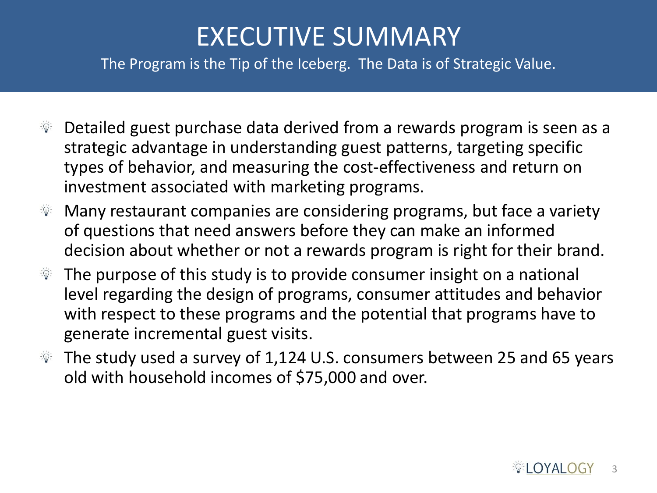# EXECUTIVE SUMMARY

The Program is the Tip of the Iceberg. The Data is of Strategic Value.

- $\mathbb{R}$  Detailed guest purchase data derived from a rewards program is seen as a strategic advantage in understanding guest patterns, targeting specific types of behavior, and measuring the cost-effectiveness and return on investment associated with marketing programs.
- $\mathcal{F}$  Many restaurant companies are considering programs, but face a variety of questions that need answers before they can make an informed decision about whether or not a rewards program is right for their brand.
- $\mathcal{F}$  The purpose of this study is to provide consumer insight on a national level regarding the design of programs, consumer attitudes and behavior with respect to these programs and the potential that programs have to generate incremental guest visits.
- $\%$  The study used a survey of 1,124 U.S. consumers between 25 and 65 years old with household incomes of \$75,000 and over.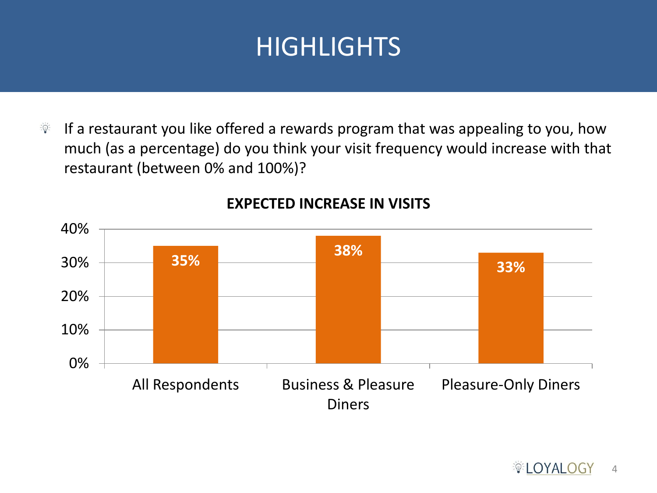If a restaurant you like offered a rewards program that was appealing to you, how  $\vec{y}$ much (as a percentage) do you think your visit frequency would increase with that restaurant (between 0% and 100%)?



#### **EXPECTED INCREASE IN VISITS**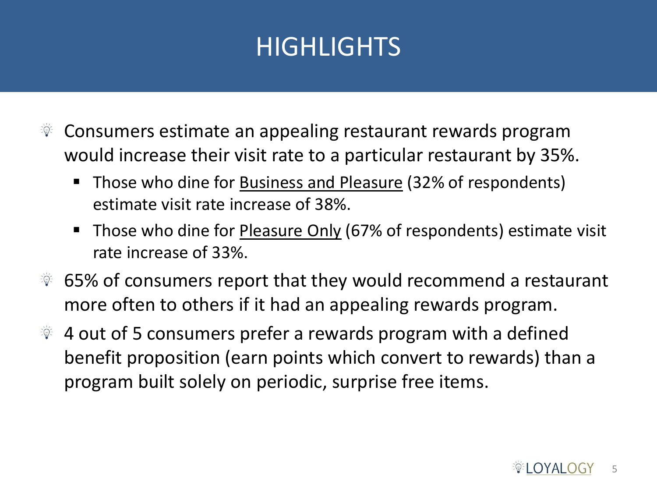- Consumers estimate an appealing restaurant rewards program  $\frac{1}{2}$   $\frac{1}{2}$ would increase their visit rate to a particular restaurant by 35%.
	- Those who dine for **Business and Pleasure** (32% of respondents) estimate visit rate increase of 38%.
	- Those who dine for Pleasure Only (67% of respondents) estimate visit rate increase of 33%.
- 65% of consumers report that they would recommend a restaurant ें©ू more often to others if it had an appealing rewards program.
- $\mathcal{F}$  4 out of 5 consumers prefer a rewards program with a defined benefit proposition (earn points which convert to rewards) than a program built solely on periodic, surprise free items.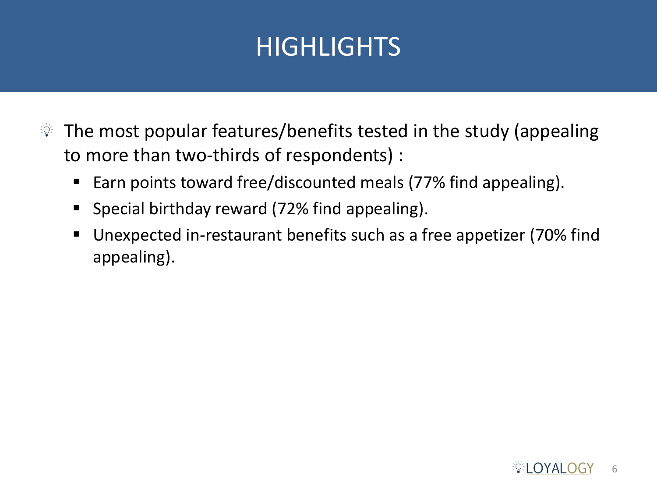- The most popular features/benefits tested in the study (appealing  $\frac{1}{2} \sum_{i=1}^n \frac{1}{i}$ to more than two-thirds of respondents) :
	- Earn points toward free/discounted meals (77% find appealing).
	- Special birthday reward (72% find appealing).
	- Unexpected in-restaurant benefits such as a free appetizer (70% find appealing).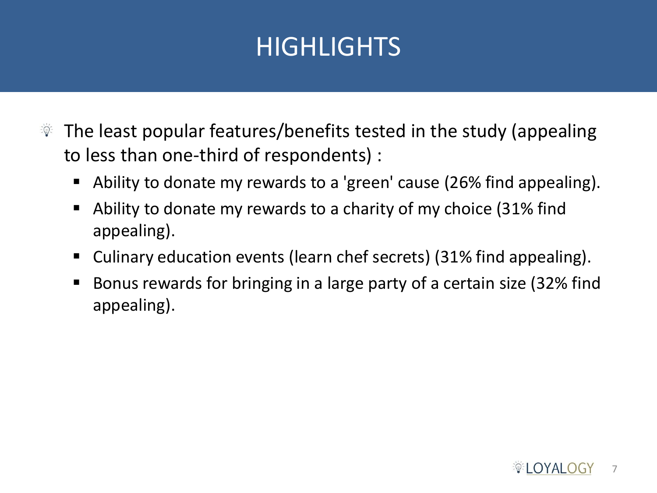- The least popular features/benefits tested in the study (appealing  $\frac{1}{2}$   $\frac{1}{2}$ to less than one-third of respondents) :
	- Ability to donate my rewards to a 'green' cause (26% find appealing).
	- Ability to donate my rewards to a charity of my choice (31% find appealing).
	- Culinary education events (learn chef secrets) (31% find appealing).
	- Bonus rewards for bringing in a large party of a certain size (32% find appealing).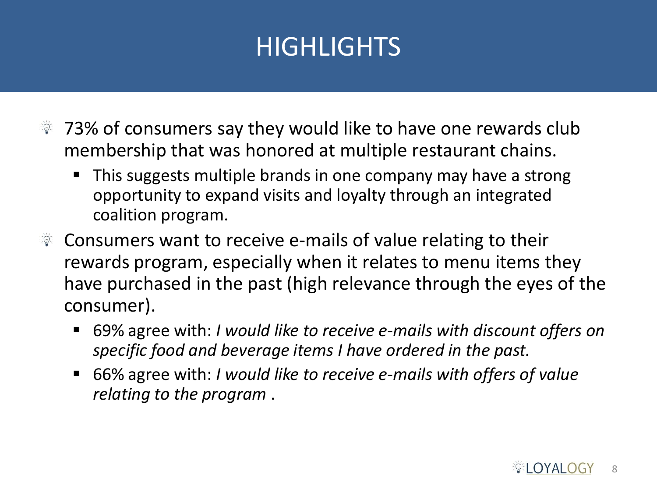- $\sqrt[3]{2}$  73% of consumers say they would like to have one rewards club membership that was honored at multiple restaurant chains.
	- This suggests multiple brands in one company may have a strong opportunity to expand visits and loyalty through an integrated coalition program.
- $\mathcal{F}$  Consumers want to receive e-mails of value relating to their rewards program, especially when it relates to menu items they have purchased in the past (high relevance through the eyes of the consumer).
	- 69% agree with: *I would like to receive e-mails with discount offers on specific food and beverage items I have ordered in the past.*
	- 66% agree with: *I would like to receive e-mails with offers of value relating to the program* .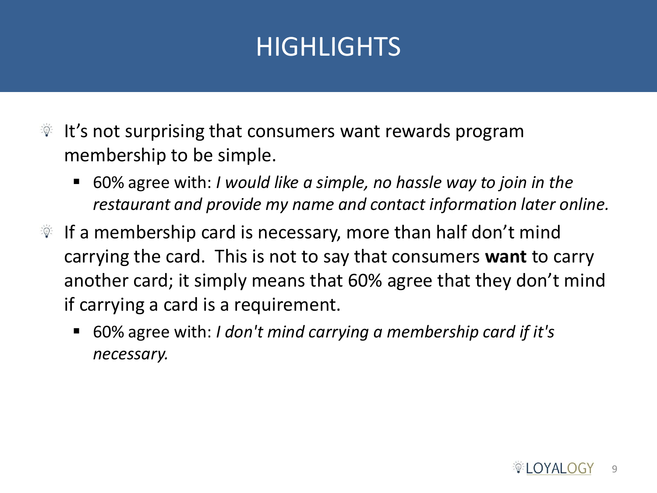- $\mathbb{R}$  It's not surprising that consumers want rewards program membership to be simple.
	- 60% agree with: *I would like a simple, no hassle way to join in the restaurant and provide my name and contact information later online.*
- If a membership card is necessary, more than half don't mind carrying the card. This is not to say that consumers **want** to carry another card; it simply means that 60% agree that they don't mind if carrying a card is a requirement.
	- 60% agree with: *I don't mind carrying a membership card if it's necessary.*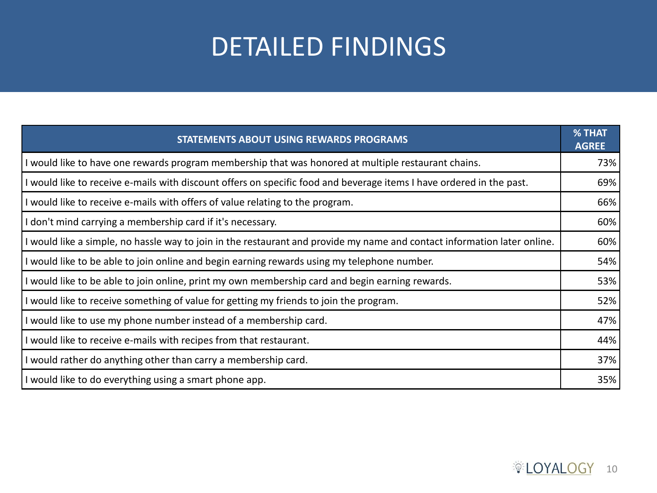# DETAILED FINDINGS

| <b>STATEMENTS ABOUT USING REWARDS PROGRAMS</b>                                                                           | % THAT<br><b>AGREE</b> |
|--------------------------------------------------------------------------------------------------------------------------|------------------------|
| I would like to have one rewards program membership that was honored at multiple restaurant chains.                      | 73%                    |
| I would like to receive e-mails with discount offers on specific food and beverage items I have ordered in the past.     | 69%                    |
| I would like to receive e-mails with offers of value relating to the program.                                            | 66%                    |
| I don't mind carrying a membership card if it's necessary.                                                               | 60%                    |
| I would like a simple, no hassle way to join in the restaurant and provide my name and contact information later online. | 60%                    |
| I would like to be able to join online and begin earning rewards using my telephone number.                              | 54%                    |
| I would like to be able to join online, print my own membership card and begin earning rewards.                          | 53%                    |
| If would like to receive something of value for getting my friends to join the program.                                  | 52%                    |
| I would like to use my phone number instead of a membership card.                                                        | 47%                    |
| I would like to receive e-mails with recipes from that restaurant.                                                       | 44%                    |
| I would rather do anything other than carry a membership card.                                                           | 37%                    |
| I would like to do everything using a smart phone app.                                                                   | 35%                    |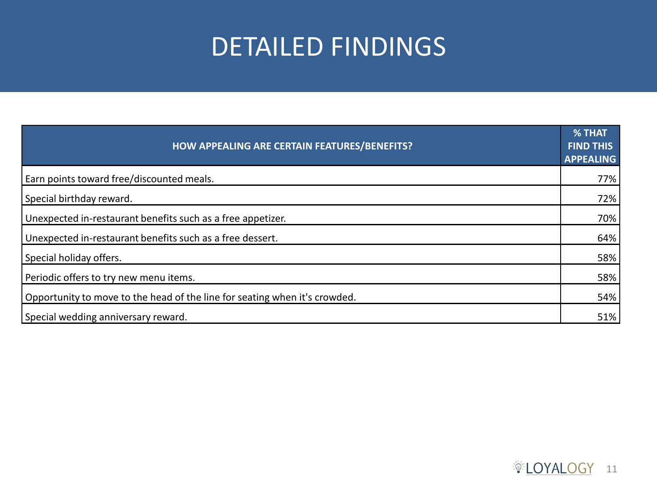# DETAILED FINDINGS

| HOW APPEALING ARE CERTAIN FEATURES/BENEFITS?                               | % THAT<br><b>FIND THIS</b><br><b>APPEALING</b> |
|----------------------------------------------------------------------------|------------------------------------------------|
| Earn points toward free/discounted meals.                                  | 77%                                            |
| Special birthday reward.                                                   | 72%                                            |
| Unexpected in-restaurant benefits such as a free appetizer.                | 70%                                            |
| Unexpected in-restaurant benefits such as a free dessert.                  | 64%                                            |
| Special holiday offers.                                                    | 58%                                            |
| Periodic offers to try new menu items.                                     | 58%                                            |
| Opportunity to move to the head of the line for seating when it's crowded. | 54%                                            |
| Special wedding anniversary reward.                                        | 51%                                            |

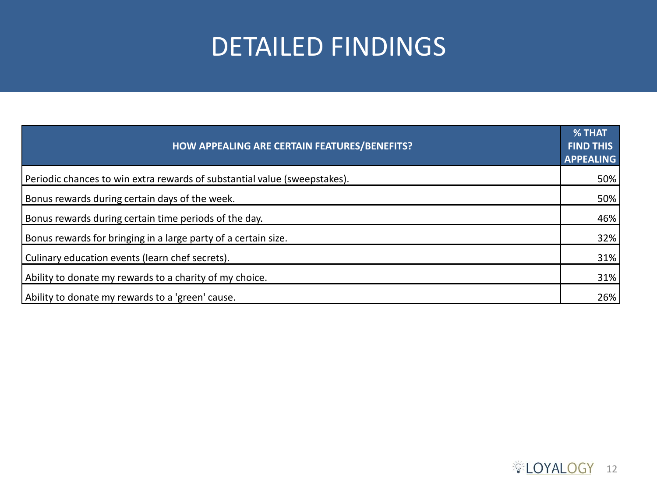#### DETAILED FINDINGS

| HOW APPEALING ARE CERTAIN FEATURES/BENEFITS?                              | <b>% THAT</b><br><b>FIND THIS</b><br><b>APPEALING</b> |
|---------------------------------------------------------------------------|-------------------------------------------------------|
| Periodic chances to win extra rewards of substantial value (sweepstakes). | $50\%$                                                |
| Bonus rewards during certain days of the week.                            | 50%                                                   |
| Bonus rewards during certain time periods of the day.                     | 46%                                                   |
| Bonus rewards for bringing in a large party of a certain size.            | 32%                                                   |
| Culinary education events (learn chef secrets).                           | 31%                                                   |
| Ability to donate my rewards to a charity of my choice.                   | 31%                                                   |
| Ability to donate my rewards to a 'green' cause.                          | 26%                                                   |

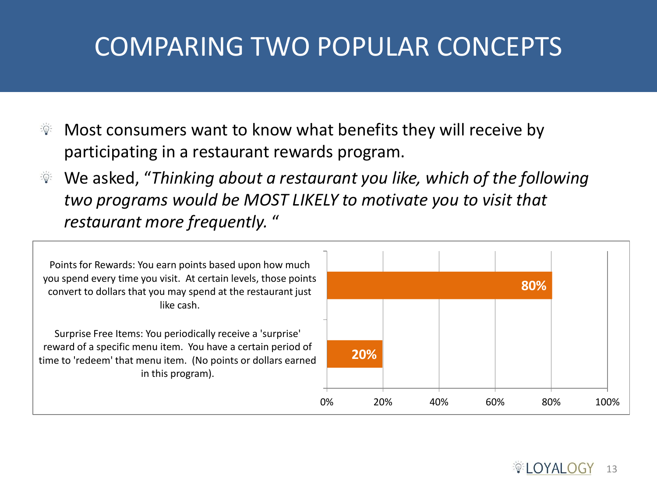# COMPARING TWO POPULAR CONCEPTS

- Most consumers want to know what benefits they will receive by participating in a restaurant rewards program.
- We asked, "*Thinking about a restaurant you like, which of the following two programs would be MOST LIKELY to motivate you to visit that restaurant more frequently.* "

Points for Rewards: You earn points based upon how much you spend every time you visit. At certain levels, those points convert to dollars that you may spend at the restaurant just like cash.

Surprise Free Items: You periodically receive a 'surprise' reward of a specific menu item. You have a certain period of time to 'redeem' that menu item. (No points or dollars earned in this program).

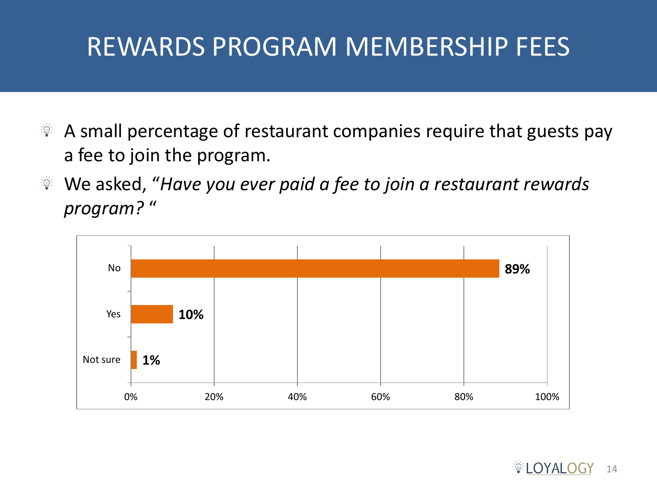# REWARDS PROGRAM MEMBERSHIP FEES

- A small percentage of restaurant companies require that guests pay  $\frac{1}{2} \sum_{i=1}^n \frac{1}{i} \sum_{i=1}^n \frac{1}{i} \sum_{i=1}^n \frac{1}{i} \sum_{i=1}^n \frac{1}{i} \sum_{i=1}^n \frac{1}{i} \sum_{i=1}^n \frac{1}{i} \sum_{i=1}^n \frac{1}{i} \sum_{i=1}^n \frac{1}{i} \sum_{i=1}^n \frac{1}{i} \sum_{i=1}^n \frac{1}{i} \sum_{i=1}^n \frac{1}{i} \sum_{i=1}^n \frac{1}{i} \sum_{i=1}^n \frac{1}{i} \sum_{i=$ a fee to join the program.
- We asked, "*Have you ever paid a fee to join a restaurant rewards*   $\frac{1}{2}$   $\frac{1}{2}$ *program?* "

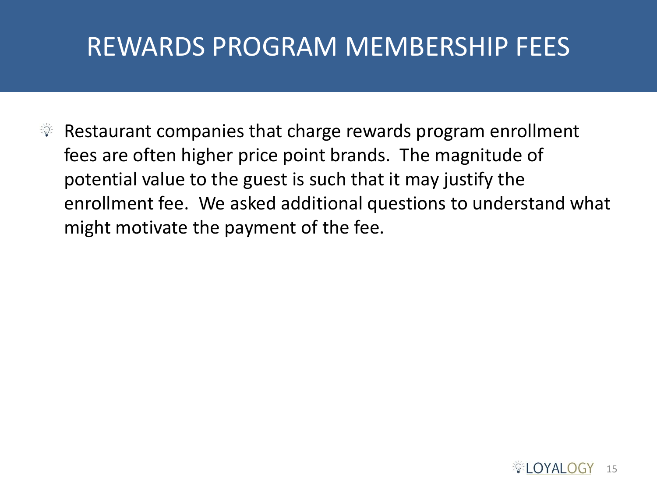## REWARDS PROGRAM MEMBERSHIP FEES

Restaurant companies that charge rewards program enrollment  $\frac{1}{2}$   $\frac{1}{2}$ fees are often higher price point brands. The magnitude of potential value to the guest is such that it may justify the enrollment fee. We asked additional questions to understand what might motivate the payment of the fee.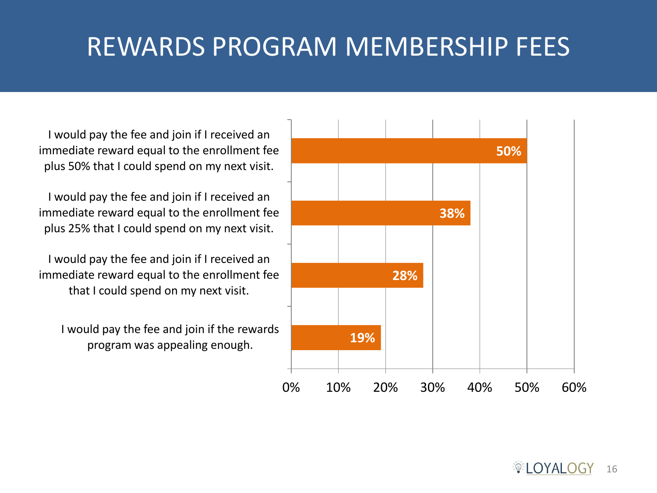# REWARDS PROGRAM MEMBERSHIP FEES

I would pay the fee and join if I received an immediate reward equal to the enrollment fee plus 50% that I could spend on my next visit.

I would pay the fee and join if I received an immediate reward equal to the enrollment fee plus 25% that I could spend on my next visit.

I would pay the fee and join if I received an immediate reward equal to the enrollment fee that I could spend on my next visit.

I would pay the fee and join if the rewards program was appealing enough.

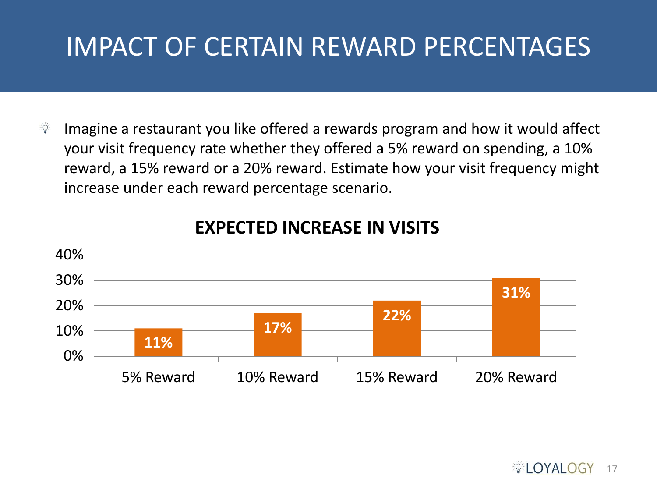# IMPACT OF CERTAIN REWARD PERCENTAGES

 $\vec{z} \in \vec{D}$ Imagine a restaurant you like offered a rewards program and how it would affect your visit frequency rate whether they offered a 5% reward on spending, a 10% reward, a 15% reward or a 20% reward. Estimate how your visit frequency might increase under each reward percentage scenario.



#### **EXPECTED INCREASE IN VISITS**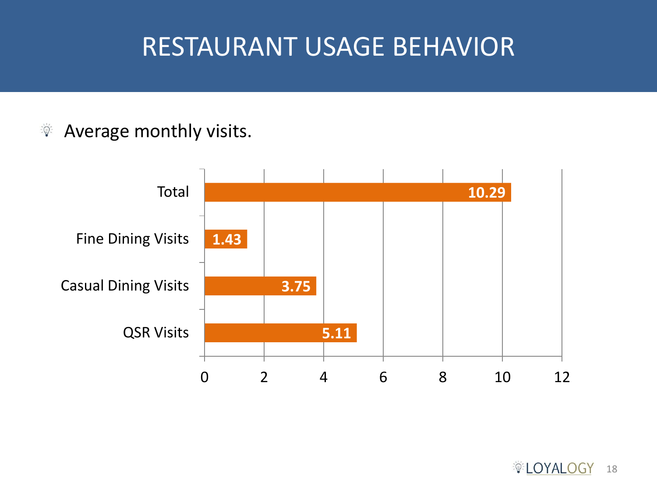#### RESTAURANT USAGE BEHAVIOR

#### Average monthly visits.  $\frac{1}{2} \sum_{i=1}^n \frac{1}{2} \frac{1}{2} \frac{1}{2} \frac{1}{2} \frac{1}{2} \frac{1}{2} \frac{1}{2} \frac{1}{2} \frac{1}{2} \frac{1}{2} \frac{1}{2} \frac{1}{2} \frac{1}{2} \frac{1}{2} \frac{1}{2} \frac{1}{2} \frac{1}{2} \frac{1}{2} \frac{1}{2} \frac{1}{2} \frac{1}{2} \frac{1}{2} \frac{1}{2} \frac{1}{2} \frac{1}{2} \frac{1}{2} \frac{1}{2} \frac{1}{2} \frac{1}{2} \$

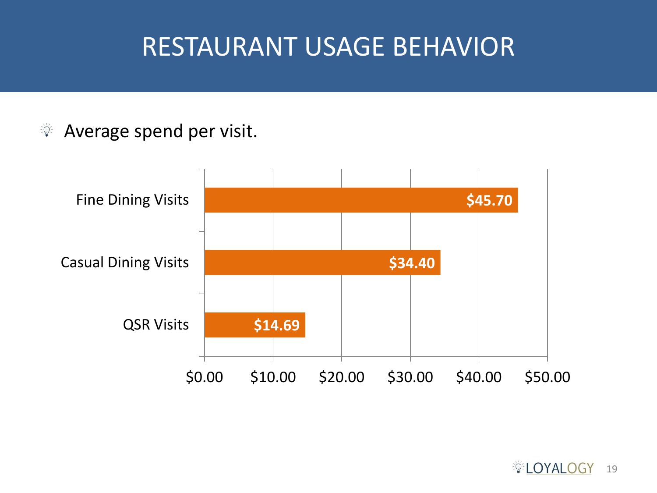#### RESTAURANT USAGE BEHAVIOR

#### Average spend per visit.  $\frac{1}{2} \sum_{i=1}^{n} \frac{1}{i} \frac{1}{i} \sum_{i=1}^{n} \frac{1}{i} \frac{1}{i} \sum_{i=1}^{n} \frac{1}{i} \frac{1}{i} \sum_{i=1}^{n} \frac{1}{i} \frac{1}{i} \sum_{i=1}^{n} \frac{1}{i} \frac{1}{i} \sum_{i=1}^{n} \frac{1}{i} \frac{1}{i} \sum_{i=1}^{n} \frac{1}{i} \frac{1}{i} \sum_{i=1}^{n} \frac{1}{i} \sum_{i=1}^{n} \frac{1}{i} \sum_{i=1}^{n} \$

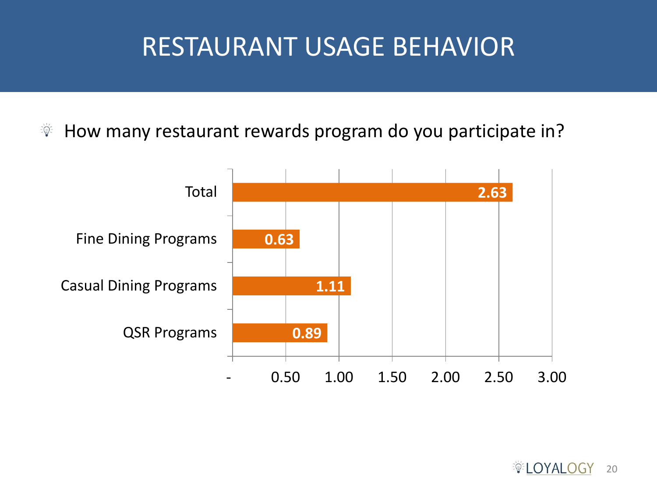#### RESTAURANT USAGE BEHAVIOR

How many restaurant rewards program do you participate in?  $\frac{1}{2} \sum_{i=1}^{n} \frac{1}{i}$ 

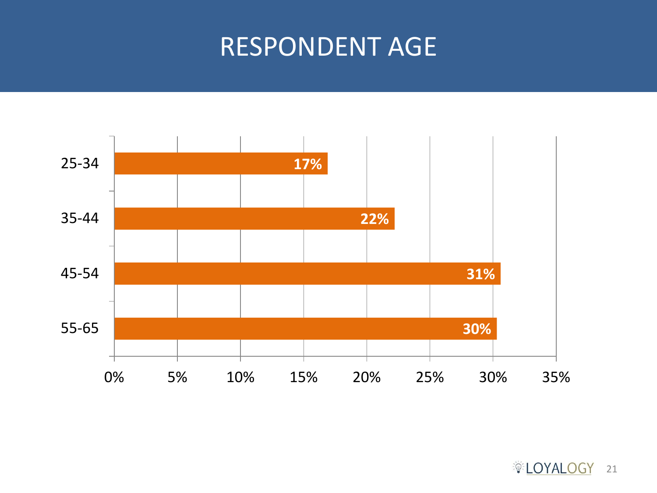#### RESPONDENT AGE



**DYALOGY** 21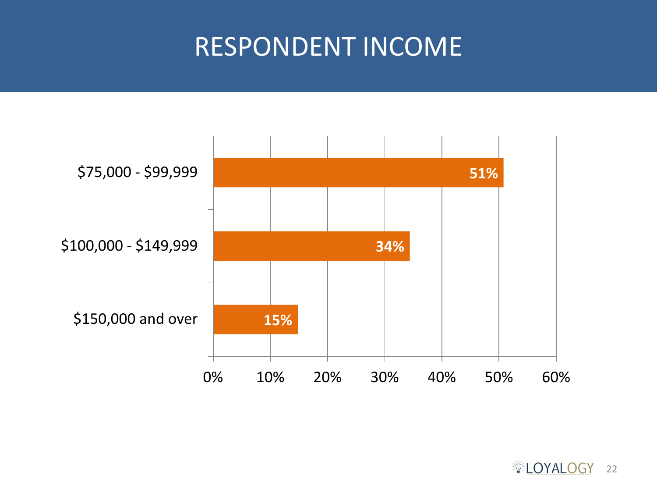#### RESPONDENT INCOME

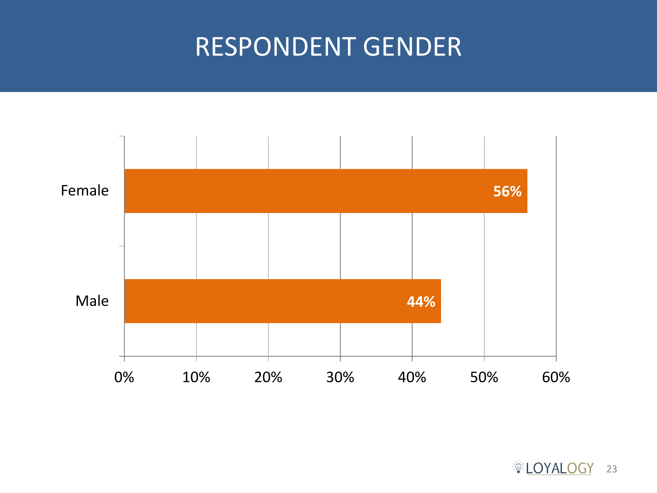#### RESPONDENT GENDER



**DYALOGY** 23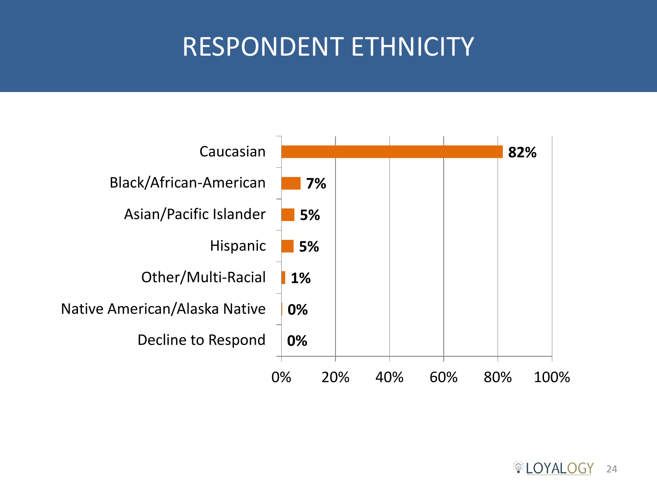# RESPONDENT ETHNICITY

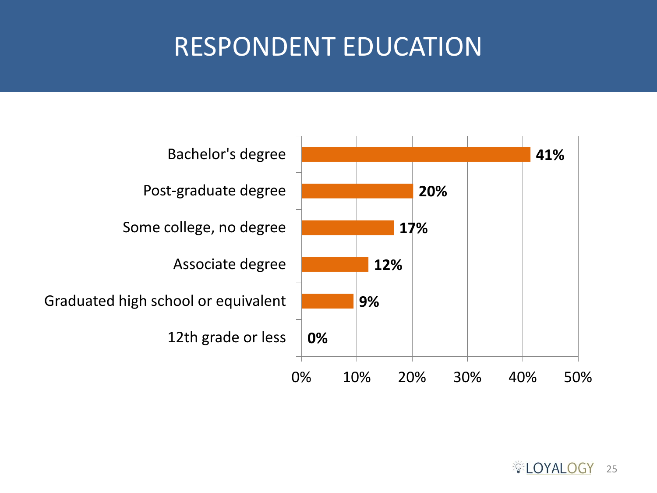# RESPONDENT EDUCATION

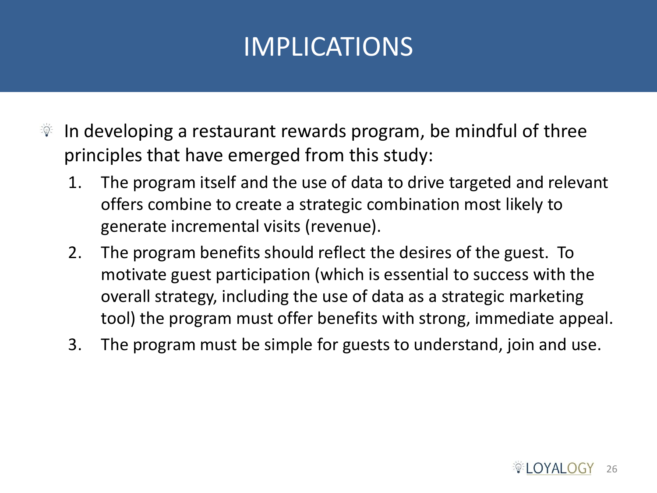# IMPLICATIONS

- In developing a restaurant rewards program, be mindful of three  $\frac{1}{2}$   $\frac{1}{2}$ principles that have emerged from this study:
	- 1. The program itself and the use of data to drive targeted and relevant offers combine to create a strategic combination most likely to generate incremental visits (revenue).
	- 2. The program benefits should reflect the desires of the guest. To motivate guest participation (which is essential to success with the overall strategy, including the use of data as a strategic marketing tool) the program must offer benefits with strong, immediate appeal.
	- 3. The program must be simple for guests to understand, join and use.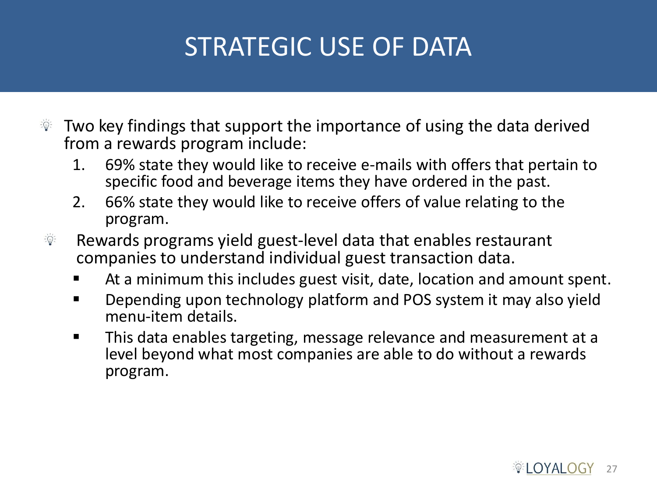# STRATEGIC USE OF DATA

- Two key findings that support the importance of using the data derived  $\frac{1}{2}$   $\frac{1}{2}$ from a rewards program include:
	- 1. 69% state they would like to receive e-mails with offers that pertain to specific food and beverage items they have ordered in the past.
	- 2. 66% state they would like to receive offers of value relating to the program.
- $\frac{1}{2} \sum_{i=1}^{n} \frac{1}{i} \frac{1}{i} \frac{1}{i} \frac{1}{i} \frac{1}{i} \frac{1}{i} \frac{1}{i} \frac{1}{i} \frac{1}{i} \frac{1}{i} \frac{1}{i} \frac{1}{i} \frac{1}{i} \frac{1}{i} \frac{1}{i} \frac{1}{i} \frac{1}{i} \frac{1}{i} \frac{1}{i} \frac{1}{i} \frac{1}{i} \frac{1}{i} \frac{1}{i} \frac{1}{i} \frac{1}{i} \frac{1}{i} \frac{1}{i} \frac{1}{i} \frac{1}{i}$ Rewards programs yield guest-level data that enables restaurant companies to understand individual guest transaction data.
	- At a minimum this includes guest visit, date, location and amount spent.
	- **•** Depending upon technology platform and POS system it may also yield menu-item details.
	- **This data enables targeting, message relevance and measurement at a** level beyond what most companies are able to do without a rewards program.

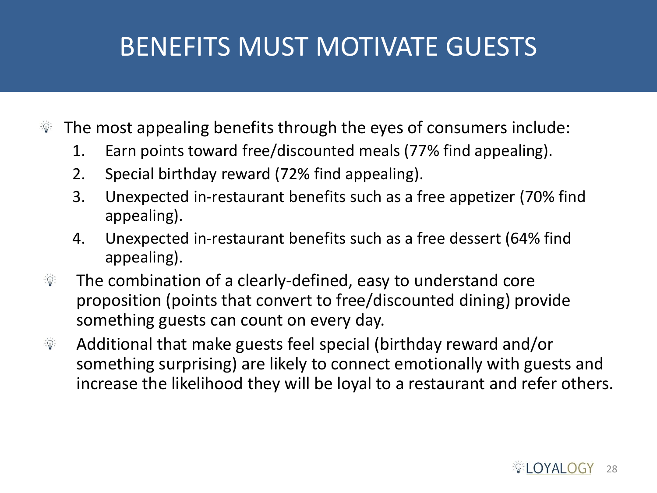# BENEFITS MUST MOTIVATE GUESTS

- The most appealing benefits through the eyes of consumers include:  $\frac{1}{2}$   $\frac{1}{2}$ 
	- 1. Earn points toward free/discounted meals (77% find appealing).
	- 2. Special birthday reward (72% find appealing).
	- 3. Unexpected in-restaurant benefits such as a free appetizer (70% find appealing).
	- 4. Unexpected in-restaurant benefits such as a free dessert (64% find appealing).
- The combination of a clearly-defined, easy to understand core  $\frac{1}{2}$   $\frac{1}{2}$ proposition (points that convert to free/discounted dining) provide something guests can count on every day.
- Additional that make guests feel special (birthday reward and/or  $\frac{1}{2} \sum_{i=1}^{n} \frac{1}{i} \frac{1}{i} \sum_{i=1}^{n} \frac{1}{i} \frac{1}{i} \sum_{i=1}^{n} \frac{1}{i} \frac{1}{i} \frac{1}{i} \sum_{i=1}^{n} \frac{1}{i} \frac{1}{i} \frac{1}{i} \sum_{i=1}^{n} \frac{1}{i} \frac{1}{i} \frac{1}{i} \sum_{i=1}^{n} \frac{1}{i} \frac{1}{i} \frac{1}{i} \sum_{i=1}^{n} \frac{1}{i} \frac{1}{i} \sum_{i=1}^{n} \frac{1}{i}$ something surprising) are likely to connect emotionally with guests and increase the likelihood they will be loyal to a restaurant and refer others.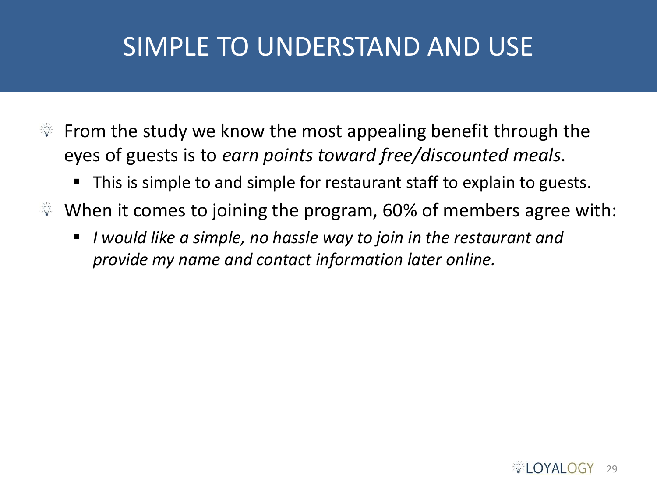# SIMPLE TO UNDERSTAND AND USE

- From the study we know the most appealing benefit through the  $\frac{1}{2}$   $\frac{1}{2}$ eyes of guests is to *earn points toward free/discounted meals*.
	- This is simple to and simple for restaurant staff to explain to guests.
- When it comes to joining the program, 60% of members agree with:  $\frac{1}{2}$   $\frac{1}{2}$ 
	- *I would like a simple, no hassle way to join in the restaurant and provide my name and contact information later online.*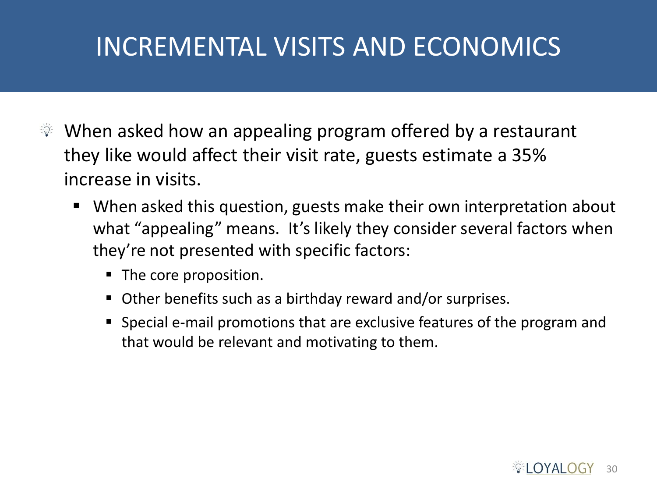# INCREMENTAL VISITS AND ECONOMICS

- $\ddot{\mathcal{F}}$  When asked how an appealing program offered by a restaurant they like would affect their visit rate, guests estimate a 35% increase in visits.
	- When asked this question, guests make their own interpretation about what "appealing" means. It's likely they consider several factors when they're not presented with specific factors:
		- The core proposition.
		- Other benefits such as a birthday reward and/or surprises.
		- Special e-mail promotions that are exclusive features of the program and that would be relevant and motivating to them.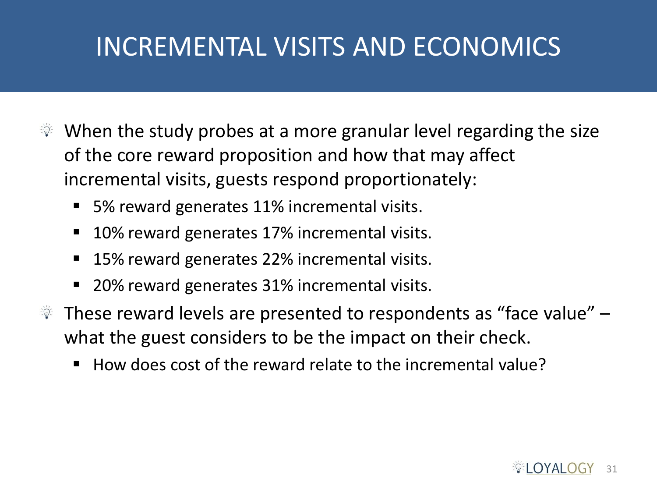# INCREMENTAL VISITS AND ECONOMICS

- When the study probes at a more granular level regarding the size  $\frac{1}{2}$   $\frac{1}{2}$ of the core reward proposition and how that may affect incremental visits, guests respond proportionately:
	- 5% reward generates 11% incremental visits.
	- 10% reward generates 17% incremental visits.
	- 15% reward generates 22% incremental visits.
	- 20% reward generates 31% incremental visits.
- $\mathbb{R}$  These reward levels are presented to respondents as "face value"  $$ what the guest considers to be the impact on their check.
	- $\blacksquare$  How does cost of the reward relate to the incremental value?

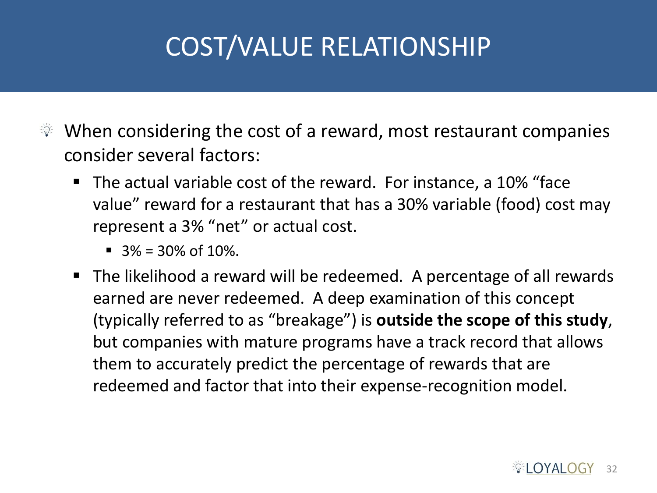# COST/VALUE RELATIONSHIP

- When considering the cost of a reward, most restaurant companies  $\frac{1}{2}$   $\frac{1}{2}$ consider several factors:
	- The actual variable cost of the reward. For instance, a 10% "face value" reward for a restaurant that has a 30% variable (food) cost may represent a 3% "net" or actual cost.
		- $\blacksquare$  3% = 30% of 10%.
	- The likelihood a reward will be redeemed. A percentage of all rewards earned are never redeemed. A deep examination of this concept (typically referred to as "breakage") is **outside the scope of this study**, but companies with mature programs have a track record that allows them to accurately predict the percentage of rewards that are redeemed and factor that into their expense-recognition model.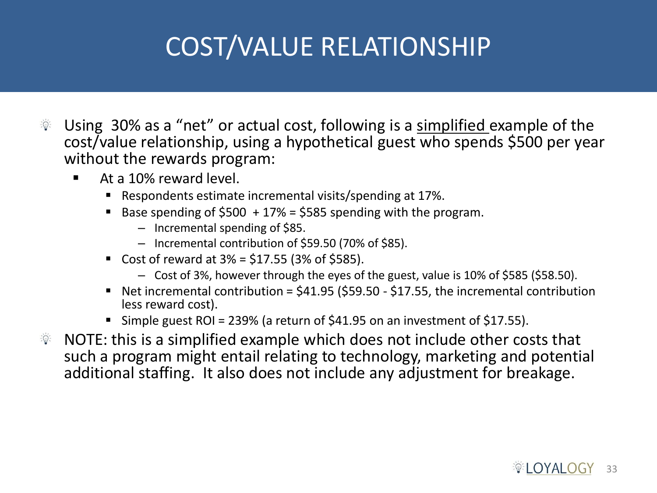# COST/VALUE RELATIONSHIP

- Using 30% as a "net" or actual cost, following is a simplified example of the  $\frac{1}{2} \frac{1}{2} \frac{1}{2}$ cost/value relationship, using a hypothetical guest who spends \$500 per year without the rewards program:
	- At a 10% reward level.
		- Respondents estimate incremental visits/spending at 17%.
		- Base spending of  $$500 + 17\% = $585$  spending with the program.
			- Incremental spending of \$85.
			- Incremental contribution of \$59.50 (70% of \$85).
		- Cost of reward at  $3% = $17.55$  (3% of \$585).
			- Cost of 3%, however through the eyes of the guest, value is 10% of \$585 (\$58.50).
		- Net incremental contribution =  $$41.95$  (\$59.50 \$17.55, the incremental contribution less reward cost).
		- Simple guest ROI = 239% (a return of \$41.95 on an investment of \$17.55).
- NOTE: this is a simplified example which does not include other costs that  $\frac{1}{2}$ such a program might entail relating to technology, marketing and potential additional staffing. It also does not include any adjustment for breakage.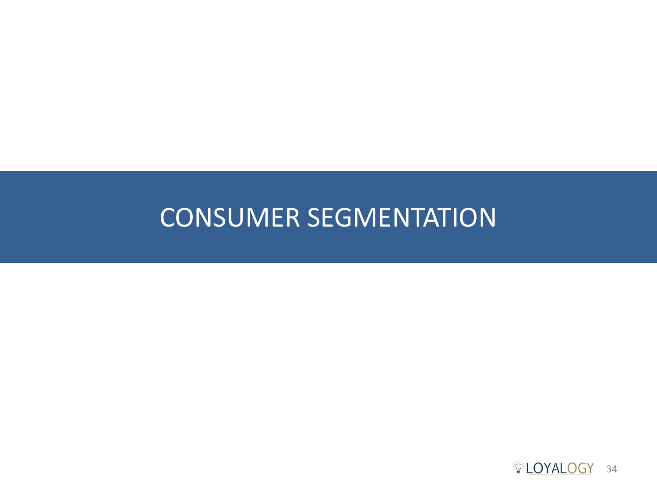#### CONSUMER SEGMENTATION

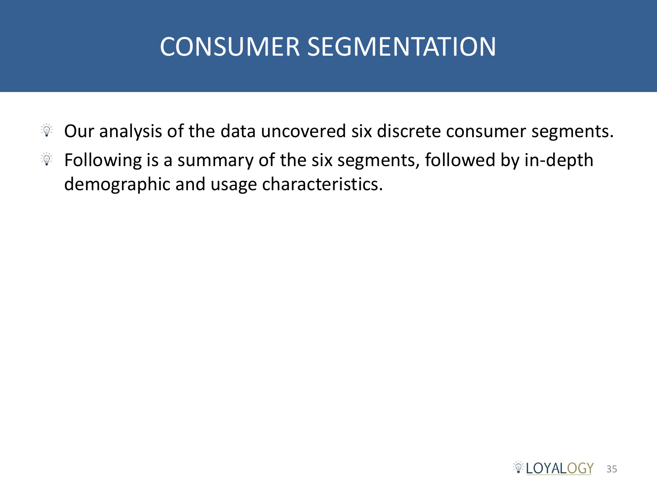# CONSUMER SEGMENTATION

- Our analysis of the data uncovered six discrete consumer segments.  $\frac{1}{2} \sum_{i=1}^n \frac{1}{i} \sum_{i=1}^n \frac{1}{i} \sum_{i=1}^n \frac{1}{i} \sum_{i=1}^n \frac{1}{i} \sum_{i=1}^n \frac{1}{i} \sum_{i=1}^n \frac{1}{i} \sum_{i=1}^n \frac{1}{i} \sum_{i=1}^n \frac{1}{i} \sum_{i=1}^n \frac{1}{i} \sum_{i=1}^n \frac{1}{i} \sum_{i=1}^n \frac{1}{i} \sum_{i=1}^n \frac{1}{i} \sum_{i=1}^n \frac{1}{i} \sum_{i=$
- $\mathbb{R}$  Following is a summary of the six segments, followed by in-depth demographic and usage characteristics.

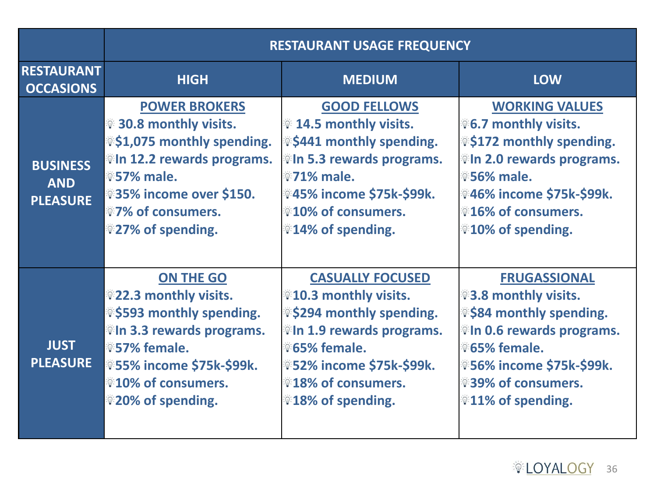|                                                  | <b>RESTAURANT USAGE FREQUENCY</b>                                                                                                                                                                                                                                                            |                                                                                                                                                                                                                                                     |                                                                                                                                                                                                                                                                |
|--------------------------------------------------|----------------------------------------------------------------------------------------------------------------------------------------------------------------------------------------------------------------------------------------------------------------------------------------------|-----------------------------------------------------------------------------------------------------------------------------------------------------------------------------------------------------------------------------------------------------|----------------------------------------------------------------------------------------------------------------------------------------------------------------------------------------------------------------------------------------------------------------|
| <b>RESTAURANT</b><br><b>OCCASIONS</b>            | <b>HIGH</b>                                                                                                                                                                                                                                                                                  | <b>MEDIUM</b>                                                                                                                                                                                                                                       | <b>LOW</b>                                                                                                                                                                                                                                                     |
| <b>BUSINESS</b><br><b>AND</b><br><b>PLEASURE</b> | <b>POWER BROKERS</b><br><b><b><i>W</i></b> 30.8 monthly visits.</b><br><sup>※</sup> \$1,075 monthly spending.<br><b><i>I</i>II 12.2 rewards programs.</b><br><b>957% male.</b><br><b>\$35% income over \$150.</b><br><b><i><b>V</b></i> 7% of consumers.</b><br><sup>◎27%</sup> of spending. | <b>GOOD FELLOWS</b><br><b>14.5 monthly visits.</b><br><sup>*</sup> \$441 monthly spending.<br><b><i>i</i>ln 5.3 rewards programs.</b><br><b>12% male.</b><br>ं 45% income \$75k-\$99k.<br><b>10% of consumers.</b><br><sup>₩</sup> 14% of spending. | <b>WORKING VALUES</b><br><b><b><i>V</i></b>6.7 monthly visits.</b><br><sup>※</sup> \$172 monthly spending.<br><b><i>i</i>th 2.0 rewards programs.</b><br><b>\$56% male.</b><br><b>◎46% income \$75k-\$99k.</b><br><b>16% of consumers.</b><br>10% of spending. |
| <b>JUST</b><br><b>PLEASURE</b>                   | ON THE GO<br><b><b><i>W</i></b> 22.3 monthly visits.</b><br><sup>◎</sup> \$593 monthly spending.<br><b><i>In</i></b> 3.3 rewards programs.<br><b>\$57% female.</b><br><b>ँ55% income \$75k-\$99k.</b><br><b>Vido 10% of consumers.</b><br><b>1920% of spending.</b>                          | <b>CASUALLY FOCUSED</b><br>$*10.3$ monthly visits.<br><sup>※</sup> \$294 monthly spending.<br><b><i>i</i>ln 1.9 rewards programs.</b><br><b>65% female.</b><br>*52% income \$75k-\$99k.<br><b>18% of consumers.</b><br><b>18% of spending.</b>      | <b>FRUGASSIONAL</b><br>$\sqrt[3]{3.8}$ monthly visits.<br><sup>※</sup> \$84 monthly spending.<br><b><i>Win 0.6 rewards programs.</i></b><br><b>65% female.</b><br><b>◎56% income \$75k-\$99k.</b><br><b><b>839% of consumers.</b></b><br>$*11\%$ of spending.  |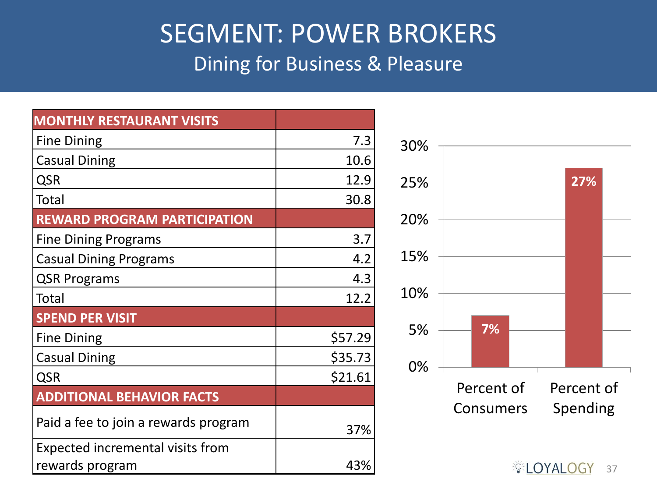#### SEGMENT: POWER BROKERS Dining for Business & Pleasure

| <b>MONTHLY RESTAURANT VISITS</b>        |         |
|-----------------------------------------|---------|
| <b>Fine Dining</b>                      | 7.3     |
| <b>Casual Dining</b>                    | 10.6    |
| <b>QSR</b>                              | 12.9    |
| Total                                   | 30.8    |
| <b>REWARD PROGRAM PARTICIPATION</b>     |         |
| <b>Fine Dining Programs</b>             | 3.7     |
| <b>Casual Dining Programs</b>           | 4.2     |
| <b>QSR Programs</b>                     | 4.3     |
| Total                                   | 12.2    |
| <b>SPEND PER VISIT</b>                  |         |
| <b>Fine Dining</b>                      | \$57.29 |
| <b>Casual Dining</b>                    | \$35.73 |
| <b>QSR</b>                              | \$21.61 |
| <b>ADDITIONAL BEHAVIOR FACTS</b>        |         |
| Paid a fee to join a rewards program    | 37%     |
| <b>Expected incremental visits from</b> |         |
| rewards program                         | 43%     |

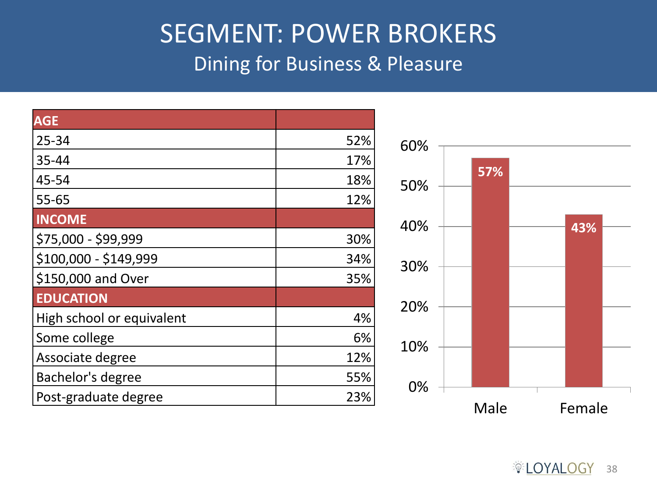#### SEGMENT: POWER BROKERS Dining for Business & Pleasure

| <b>AGE</b>                |     |
|---------------------------|-----|
| 25-34                     | 52% |
| 35-44                     | 17% |
| 45-54                     | 18% |
| 55-65                     | 12% |
| <b>INCOME</b>             |     |
| \$75,000 - \$99,999       | 30% |
| \$100,000 - \$149,999     | 34% |
| \$150,000 and Over        | 35% |
| <b>EDUCATION</b>          |     |
| High school or equivalent | 4%  |
| Some college              | 6%  |
| Associate degree          | 12% |
| Bachelor's degree         | 55% |
| Post-graduate degree      | 23% |

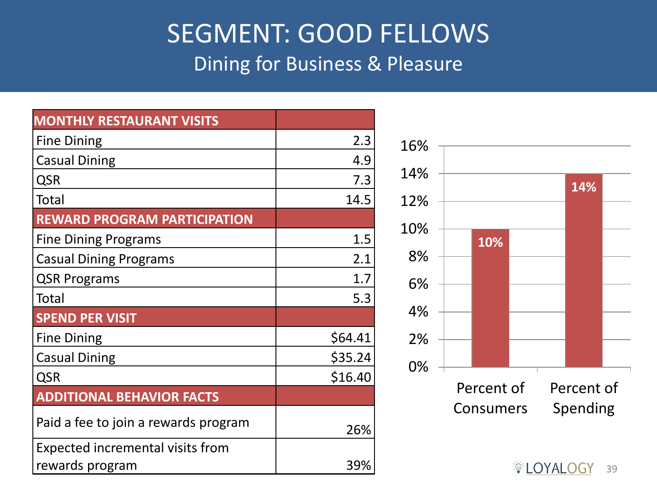#### SEGMENT: GOOD FELLOWS Dining for Business & Pleasure

| <b>MONTHLY RESTAURANT VISITS</b>     |         |
|--------------------------------------|---------|
| <b>Fine Dining</b>                   | 2.3     |
| <b>Casual Dining</b>                 | 4.9     |
| <b>QSR</b>                           | 7.3     |
| Total                                | 14.5    |
| <b>REWARD PROGRAM PARTICIPATION</b>  |         |
| <b>Fine Dining Programs</b>          | 1.5     |
| <b>Casual Dining Programs</b>        | 2.1     |
| <b>QSR Programs</b>                  | 1.7     |
| Total                                | 5.3     |
| <b>SPEND PER VISIT</b>               |         |
| <b>Fine Dining</b>                   | \$64.41 |
| <b>Casual Dining</b>                 | \$35.24 |
| <b>QSR</b>                           | \$16.40 |
| <b>ADDITIONAL BEHAVIOR FACTS</b>     |         |
| Paid a fee to join a rewards program | 26%     |
| Expected incremental visits from     |         |
| rewards program                      | 39%     |

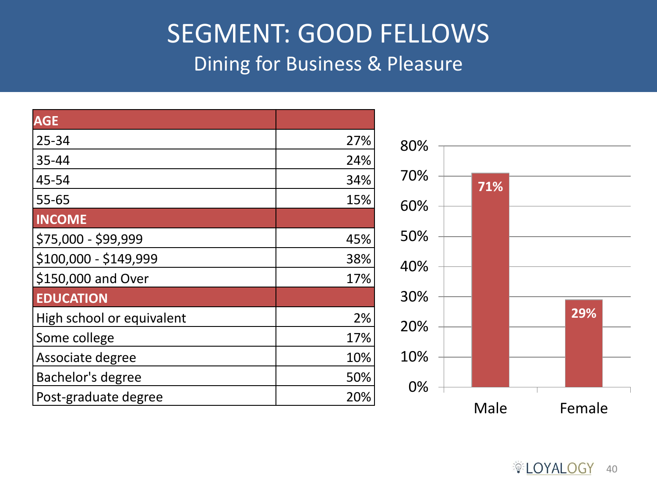#### SEGMENT: GOOD FELLOWS Dining for Business & Pleasure

| <b>AGE</b>                |     |
|---------------------------|-----|
| 25-34                     | 27% |
| 35-44                     | 24% |
| 45-54                     | 34% |
| $55 - 65$                 | 15% |
| <b>INCOME</b>             |     |
| \$75,000 - \$99,999       | 45% |
| \$100,000 - \$149,999     | 38% |
| \$150,000 and Over        | 17% |
| <b>EDUCATION</b>          |     |
| High school or equivalent | 2%  |
| Some college              | 17% |
| Associate degree          | 10% |
| Bachelor's degree         | 50% |
| Post-graduate degree      | 20% |

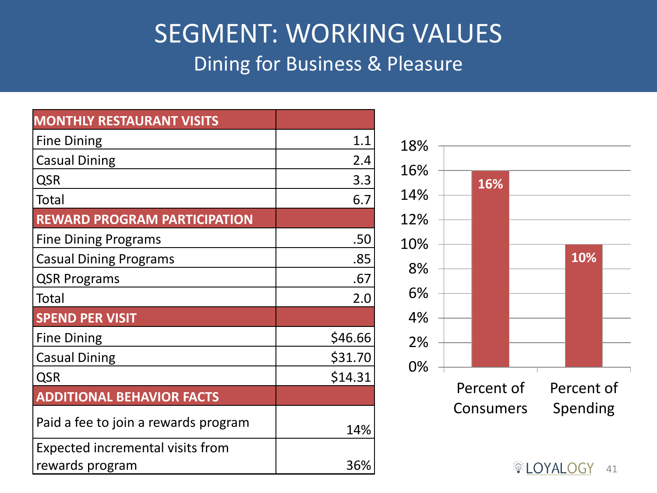#### SEGMENT: WORKING VALUES Dining for Business & Pleasure

| <b>MONTHLY RESTAURANT VISITS</b>     |         |
|--------------------------------------|---------|
| <b>Fine Dining</b>                   | 1.1     |
| <b>Casual Dining</b>                 | 2.4     |
| <b>QSR</b>                           | 3.3     |
| Total                                | 6.7     |
| <b>REWARD PROGRAM PARTICIPATION</b>  |         |
| <b>Fine Dining Programs</b>          | .50     |
| <b>Casual Dining Programs</b>        | .85     |
| <b>QSR Programs</b>                  | .67     |
| <b>Total</b>                         | 2.0     |
| <b>SPEND PER VISIT</b>               |         |
| <b>Fine Dining</b>                   | \$46.66 |
| <b>Casual Dining</b>                 | \$31.70 |
| <b>QSR</b>                           | \$14.31 |
| <b>ADDITIONAL BEHAVIOR FACTS</b>     |         |
| Paid a fee to join a rewards program | 14%     |
| Expected incremental visits from     |         |
| rewards program                      | 36%     |

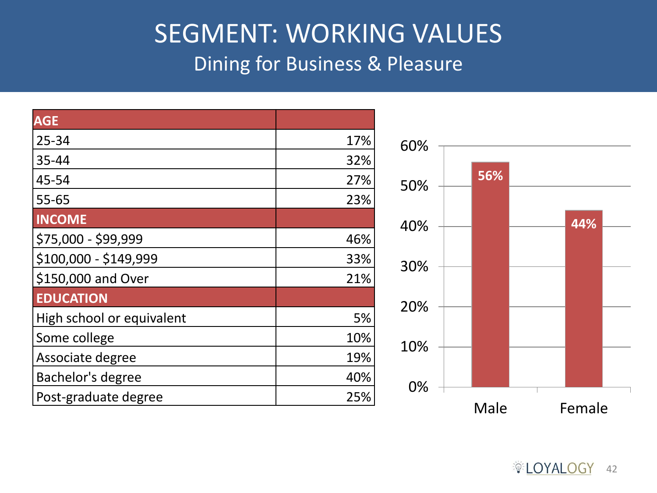#### SEGMENT: WORKING VALUES Dining for Business & Pleasure

| <b>AGE</b>                |     |
|---------------------------|-----|
| 25-34                     | 17% |
| 35-44                     | 32% |
| 45-54                     | 27% |
| 55-65                     | 23% |
| <b>INCOME</b>             |     |
| \$75,000 - \$99,999       | 46% |
| \$100,000 - \$149,999     | 33% |
| \$150,000 and Over        | 21% |
| <b>EDUCATION</b>          |     |
| High school or equivalent | 5%  |
| Some college              | 10% |
| Associate degree          | 19% |
| Bachelor's degree         | 40% |
| Post-graduate degree      | 25% |

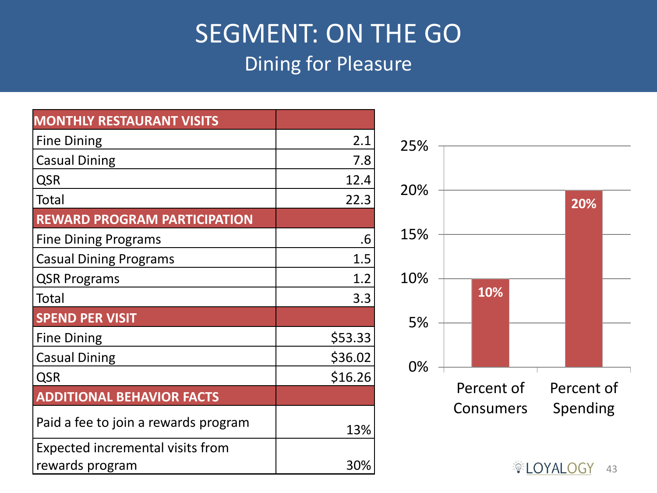#### SEGMENT: ON THE GO Dining for Pleasure

| <b>MONTHLY RESTAURANT VISITS</b>     |         |
|--------------------------------------|---------|
| <b>Fine Dining</b>                   | 2.1     |
| <b>Casual Dining</b>                 | 7.8     |
| <b>QSR</b>                           | 12.4    |
| <b>Total</b>                         | 22.3    |
| <b>REWARD PROGRAM PARTICIPATION</b>  |         |
| <b>Fine Dining Programs</b>          | .6      |
| <b>Casual Dining Programs</b>        | 1.5     |
| <b>QSR Programs</b>                  | 1.2     |
| <b>Total</b>                         | 3.3     |
| <b>SPEND PER VISIT</b>               |         |
| <b>Fine Dining</b>                   | \$53.33 |
| <b>Casual Dining</b>                 | \$36.02 |
| <b>QSR</b>                           | \$16.26 |
| <b>ADDITIONAL BEHAVIOR FACTS</b>     |         |
| Paid a fee to join a rewards program | 13%     |
| Expected incremental visits from     |         |
| rewards program                      | 30%     |

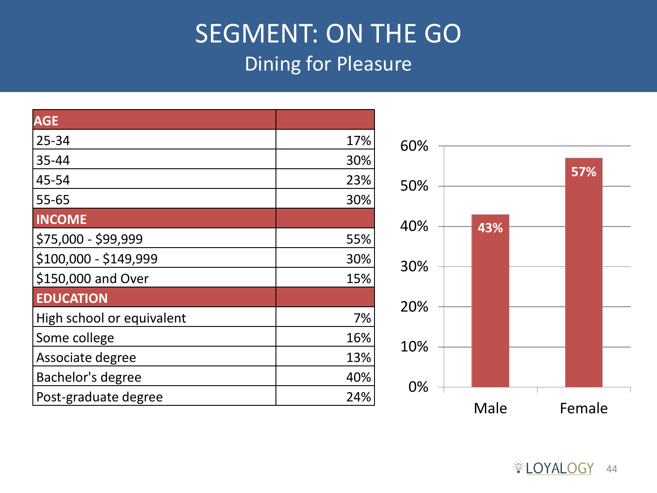#### SEGMENT: ON THE GO Dining for Pleasure

| AGE                       |     |
|---------------------------|-----|
| $25 - 34$                 | 17% |
| 35-44                     | 30% |
| 45-54                     | 23% |
| 55-65                     | 30% |
| <b>INCOME</b>             |     |
| \$75,000 - \$99,999       | 55% |
| $$100,000 - $149,999$     | 30% |
| \$150,000 and Over        | 15% |
| <b>EDUCATION</b>          |     |
| High school or equivalent | 7%  |
| Some college              | 16% |
| Associate degree          | 13% |
| Bachelor's degree         | 40% |
| Post-graduate degree      | 24% |



**DECISION** 44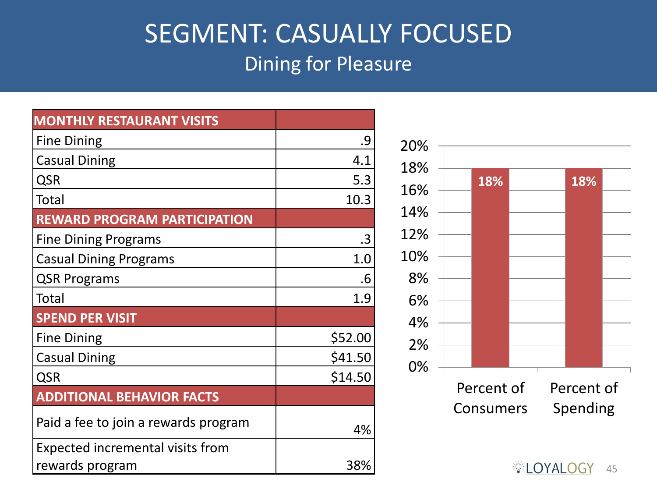#### SEGMENT: CASUALLY FOCUSED Dining for Pleasure

| <b>MONTHLY RESTAURANT VISITS</b>     |         |
|--------------------------------------|---------|
| <b>Fine Dining</b>                   | .9      |
| <b>Casual Dining</b>                 | 4.1     |
| <b>QSR</b>                           | 5.3     |
| Total                                | 10.3    |
| <b>REWARD PROGRAM PARTICIPATION</b>  |         |
| <b>Fine Dining Programs</b>          | .3      |
| <b>Casual Dining Programs</b>        | 1.0     |
| <b>QSR Programs</b>                  | .6      |
| <b>Total</b>                         | 1.9     |
| <b>SPEND PER VISIT</b>               |         |
| <b>Fine Dining</b>                   | \$52.00 |
| <b>Casual Dining</b>                 | \$41.50 |
| <b>QSR</b>                           | \$14.50 |
| <b>ADDITIONAL BEHAVIOR FACTS</b>     |         |
| Paid a fee to join a rewards program | 4%      |
| Expected incremental visits from     |         |
| rewards program                      | 38%     |

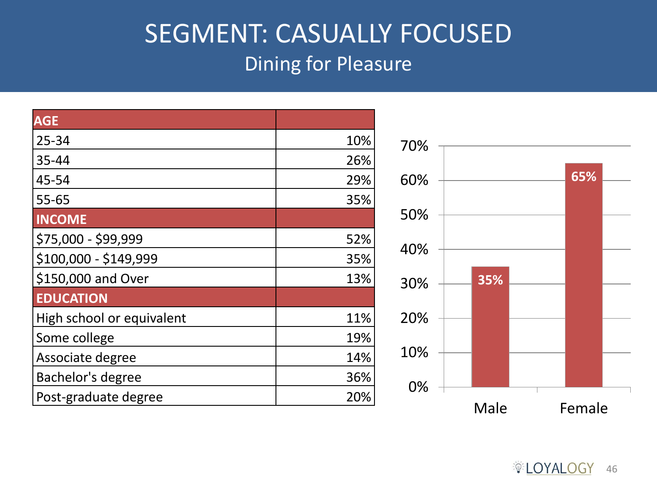#### SEGMENT: CASUALLY FOCUSED Dining for Pleasure

| <b>AGE</b>                |     |
|---------------------------|-----|
| 25-34                     | 10% |
| 35-44                     | 26% |
| 45-54                     | 29% |
| 55-65                     | 35% |
| <b>INCOME</b>             |     |
| \$75,000 - \$99,999       | 52% |
| \$100,000 - \$149,999     | 35% |
| \$150,000 and Over        | 13% |
| <b>EDUCATION</b>          |     |
| High school or equivalent | 11% |
| Some college              | 19% |
| Associate degree          | 14% |
| Bachelor's degree         | 36% |
| Post-graduate degree      | 20% |

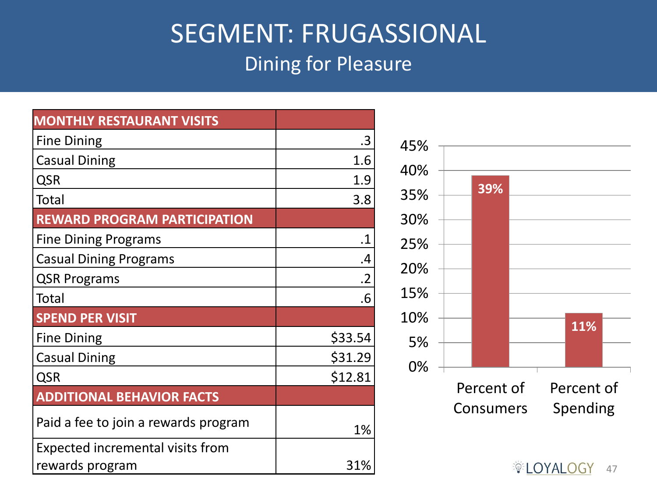#### SEGMENT: FRUGASSIONAL Dining for Pleasure

| <b>MONTHLY RESTAURANT VISITS</b>     |                 |
|--------------------------------------|-----------------|
| <b>Fine Dining</b>                   | .3              |
| <b>Casual Dining</b>                 | 1.6             |
| <b>QSR</b>                           | 1.9             |
| Total                                | 3.8             |
| <b>REWARD PROGRAM PARTICIPATION</b>  |                 |
| <b>Fine Dining Programs</b>          | .1              |
| <b>Casual Dining Programs</b>        | .4              |
| <b>QSR Programs</b>                  | $\overline{.2}$ |
| <b>Total</b>                         | .6              |
| <b>SPEND PER VISIT</b>               |                 |
| <b>Fine Dining</b>                   | \$33.54         |
| <b>Casual Dining</b>                 | \$31.29         |
| <b>QSR</b>                           | \$12.81         |
| <b>ADDITIONAL BEHAVIOR FACTS</b>     |                 |
| Paid a fee to join a rewards program | 1%              |
| Expected incremental visits from     |                 |
| rewards program                      | 31%             |

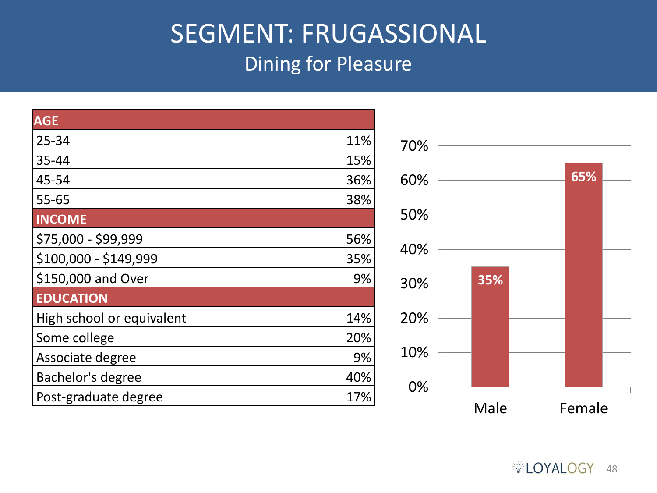#### SEGMENT: FRUGASSIONAL Dining for Pleasure

| <b>AGE</b>                |     |
|---------------------------|-----|
| $25 - 34$                 | 11% |
| 35-44                     | 15% |
| 45-54                     | 36% |
| $55 - 65$                 | 38% |
| <b>INCOME</b>             |     |
| \$75,000 - \$99,999       | 56% |
| \$100,000 - \$149,999     | 35% |
| \$150,000 and Over        | 9%  |
| <b>EDUCATION</b>          |     |
| High school or equivalent | 14% |
| Some college              | 20% |
| Associate degree          | 9%  |
| Bachelor's degree         | 40% |
| Post-graduate degree      | 17% |